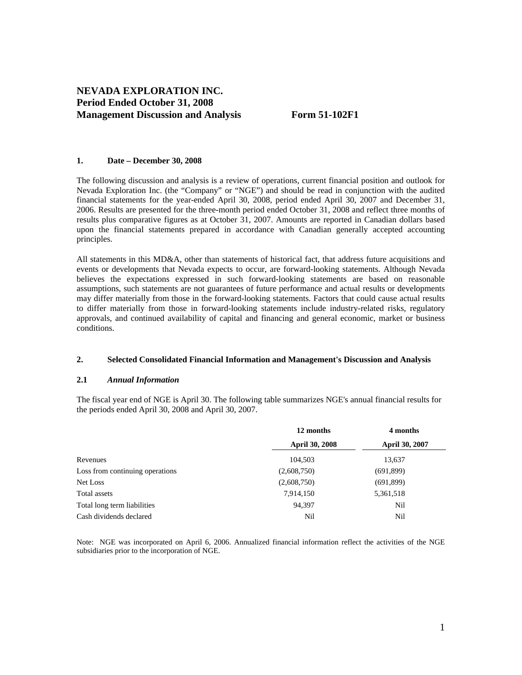# **NEVADA EXPLORATION INC. Period Ended October 31, 2008 Management Discussion and Analysis Form 51-102F1**

#### **1. Date – December 30, 2008**

The following discussion and analysis is a review of operations, current financial position and outlook for Nevada Exploration Inc. (the "Company" or "NGE") and should be read in conjunction with the audited financial statements for the year-ended April 30, 2008, period ended April 30, 2007 and December 31, 2006. Results are presented for the three-month period ended October 31, 2008 and reflect three months of results plus comparative figures as at October 31, 2007. Amounts are reported in Canadian dollars based upon the financial statements prepared in accordance with Canadian generally accepted accounting principles.

All statements in this MD&A, other than statements of historical fact, that address future acquisitions and events or developments that Nevada expects to occur, are forward-looking statements. Although Nevada believes the expectations expressed in such forward-looking statements are based on reasonable assumptions, such statements are not guarantees of future performance and actual results or developments may differ materially from those in the forward-looking statements. Factors that could cause actual results to differ materially from those in forward-looking statements include industry-related risks, regulatory approvals, and continued availability of capital and financing and general economic, market or business conditions.

#### **2. Selected Consolidated Financial Information and Management's Discussion and Analysis**

#### **2.1** *Annual Information*

The fiscal year end of NGE is April 30. The following table summarizes NGE's annual financial results for the periods ended April 30, 2008 and April 30, 2007.

|                                 | 12 months             | 4 months       |  |
|---------------------------------|-----------------------|----------------|--|
|                                 | <b>April 30, 2008</b> | April 30, 2007 |  |
| Revenues                        | 104,503               | 13,637         |  |
| Loss from continuing operations | (2,608,750)           | (691,899)      |  |
| Net Loss                        | (2,608,750)           | (691,899)      |  |
| Total assets                    | 7,914,150             | 5,361,518      |  |
| Total long term liabilities     | 94,397                | Nil            |  |
| Cash dividends declared         | Nil                   | Nil            |  |

Note: NGE was incorporated on April 6, 2006. Annualized financial information reflect the activities of the NGE subsidiaries prior to the incorporation of NGE.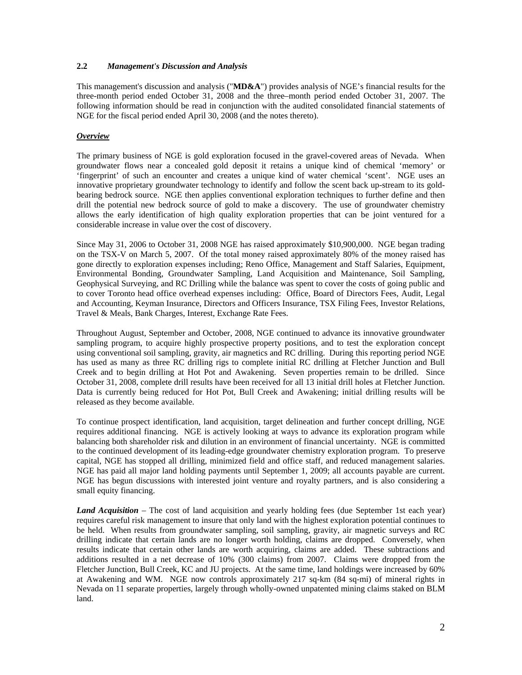## **2.2** *Management's Discussion and Analysis*

This management's discussion and analysis ("**MD&A**") provides analysis of NGE's financial results for the three-month period ended October 31, 2008 and the three–month period ended October 31, 2007. The following information should be read in conjunction with the audited consolidated financial statements of NGE for the fiscal period ended April 30, 2008 (and the notes thereto).

## *Overview*

The primary business of NGE is gold exploration focused in the gravel-covered areas of Nevada. When groundwater flows near a concealed gold deposit it retains a unique kind of chemical 'memory' or 'fingerprint' of such an encounter and creates a unique kind of water chemical 'scent'. NGE uses an innovative proprietary groundwater technology to identify and follow the scent back up-stream to its goldbearing bedrock source. NGE then applies conventional exploration techniques to further define and then drill the potential new bedrock source of gold to make a discovery. The use of groundwater chemistry allows the early identification of high quality exploration properties that can be joint ventured for a considerable increase in value over the cost of discovery.

Since May 31, 2006 to October 31, 2008 NGE has raised approximately \$10,900,000. NGE began trading on the TSX-V on March 5, 2007. Of the total money raised approximately 80% of the money raised has gone directly to exploration expenses including; Reno Office, Management and Staff Salaries, Equipment, Environmental Bonding, Groundwater Sampling, Land Acquisition and Maintenance, Soil Sampling, Geophysical Surveying, and RC Drilling while the balance was spent to cover the costs of going public and to cover Toronto head office overhead expenses including: Office, Board of Directors Fees, Audit, Legal and Accounting, Keyman Insurance, Directors and Officers Insurance, TSX Filing Fees, Investor Relations, Travel & Meals, Bank Charges, Interest, Exchange Rate Fees.

Throughout August, September and October, 2008, NGE continued to advance its innovative groundwater sampling program, to acquire highly prospective property positions, and to test the exploration concept using conventional soil sampling, gravity, air magnetics and RC drilling. During this reporting period NGE has used as many as three RC drilling rigs to complete initial RC drilling at Fletcher Junction and Bull Creek and to begin drilling at Hot Pot and Awakening. Seven properties remain to be drilled. Since October 31, 2008, complete drill results have been received for all 13 initial drill holes at Fletcher Junction. Data is currently being reduced for Hot Pot, Bull Creek and Awakening; initial drilling results will be released as they become available.

To continue prospect identification, land acquisition, target delineation and further concept drilling, NGE requires additional financing. NGE is actively looking at ways to advance its exploration program while balancing both shareholder risk and dilution in an environment of financial uncertainty. NGE is committed to the continued development of its leading-edge groundwater chemistry exploration program. To preserve capital, NGE has stopped all drilling, minimized field and office staff, and reduced management salaries. NGE has paid all major land holding payments until September 1, 2009; all accounts payable are current. NGE has begun discussions with interested joint venture and royalty partners, and is also considering a small equity financing.

*Land Acquisition* – The cost of land acquisition and yearly holding fees (due September 1st each year) requires careful risk management to insure that only land with the highest exploration potential continues to be held. When results from groundwater sampling, soil sampling, gravity, air magnetic surveys and RC drilling indicate that certain lands are no longer worth holding, claims are dropped. Conversely, when results indicate that certain other lands are worth acquiring, claims are added. These subtractions and additions resulted in a net decrease of 10% (300 claims) from 2007. Claims were dropped from the Fletcher Junction, Bull Creek, KC and JU projects. At the same time, land holdings were increased by 60% at Awakening and WM. NGE now controls approximately 217 sq-km (84 sq-mi) of mineral rights in Nevada on 11 separate properties, largely through wholly-owned unpatented mining claims staked on BLM land.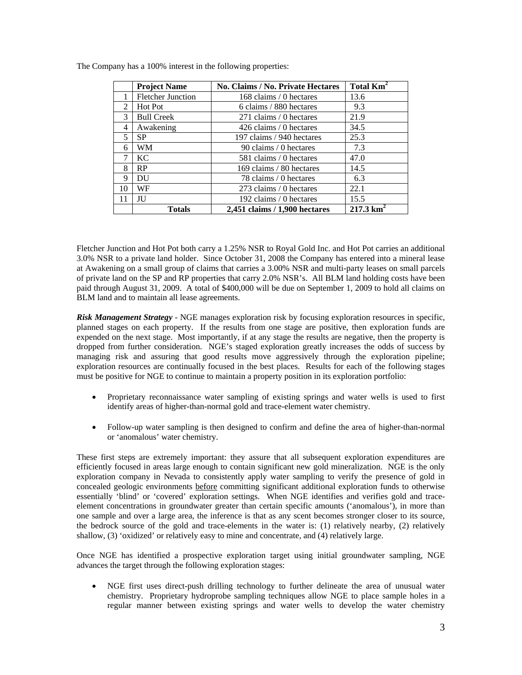|               | <b>Project Name</b><br>No. Claims / No. Private Hectares |                               | Total Km <sup>2</sup> |
|---------------|----------------------------------------------------------|-------------------------------|-----------------------|
|               | <b>Fletcher Junction</b>                                 | 168 claims / 0 hectares       | 13.6                  |
| 2             | Hot Pot                                                  | 6 claims / 880 hectares       | 9.3                   |
| $\mathcal{R}$ | <b>Bull Creek</b>                                        | 271 claims / 0 hectares       | 21.9                  |
| 4             | Awakening                                                | 426 claims / 0 hectares       | 34.5                  |
| 5             | <b>SP</b>                                                | 197 claims / 940 hectares     | 25.3                  |
| 6             | WM                                                       | 90 claims / 0 hectares        | 7.3                   |
| 7             | <b>KC</b>                                                | 581 claims / 0 hectares       | 47.0                  |
| 8             | RP                                                       | 169 claims / 80 hectares      | 14.5                  |
| 9             | DU                                                       | 78 claims / 0 hectares        | 6.3                   |
| 10            | WF                                                       | 273 claims / 0 hectares       | 22.1                  |
| 11            | <b>JU</b>                                                | 192 claims / 0 hectares       | 15.5                  |
|               | <b>Totals</b>                                            | 2,451 claims / 1,900 hectares | $217.3 \text{ km}^2$  |

The Company has a 100% interest in the following properties:

Fletcher Junction and Hot Pot both carry a 1.25% NSR to Royal Gold Inc. and Hot Pot carries an additional 3.0% NSR to a private land holder. Since October 31, 2008 the Company has entered into a mineral lease at Awakening on a small group of claims that carries a 3.00% NSR and multi-party leases on small parcels of private land on the SP and RP properties that carry 2.0% NSR's. All BLM land holding costs have been paid through August 31, 2009. A total of \$400,000 will be due on September 1, 2009 to hold all claims on BLM land and to maintain all lease agreements.

*Risk Management Strategy* - NGE manages exploration risk by focusing exploration resources in specific, planned stages on each property. If the results from one stage are positive, then exploration funds are expended on the next stage. Most importantly, if at any stage the results are negative, then the property is dropped from further consideration. NGE's staged exploration greatly increases the odds of success by managing risk and assuring that good results move aggressively through the exploration pipeline; exploration resources are continually focused in the best places. Results for each of the following stages must be positive for NGE to continue to maintain a property position in its exploration portfolio:

- Proprietary reconnaissance water sampling of existing springs and water wells is used to first identify areas of higher-than-normal gold and trace-element water chemistry.
- Follow-up water sampling is then designed to confirm and define the area of higher-than-normal or 'anomalous' water chemistry.

These first steps are extremely important: they assure that all subsequent exploration expenditures are efficiently focused in areas large enough to contain significant new gold mineralization. NGE is the only exploration company in Nevada to consistently apply water sampling to verify the presence of gold in concealed geologic environments before committing significant additional exploration funds to otherwise essentially 'blind' or 'covered' exploration settings. When NGE identifies and verifies gold and traceelement concentrations in groundwater greater than certain specific amounts ('anomalous'), in more than one sample and over a large area, the inference is that as any scent becomes stronger closer to its source, the bedrock source of the gold and trace-elements in the water is: (1) relatively nearby, (2) relatively shallow, (3) 'oxidized' or relatively easy to mine and concentrate, and (4) relatively large.

Once NGE has identified a prospective exploration target using initial groundwater sampling, NGE advances the target through the following exploration stages:

• NGE first uses direct-push drilling technology to further delineate the area of unusual water chemistry. Proprietary hydroprobe sampling techniques allow NGE to place sample holes in a regular manner between existing springs and water wells to develop the water chemistry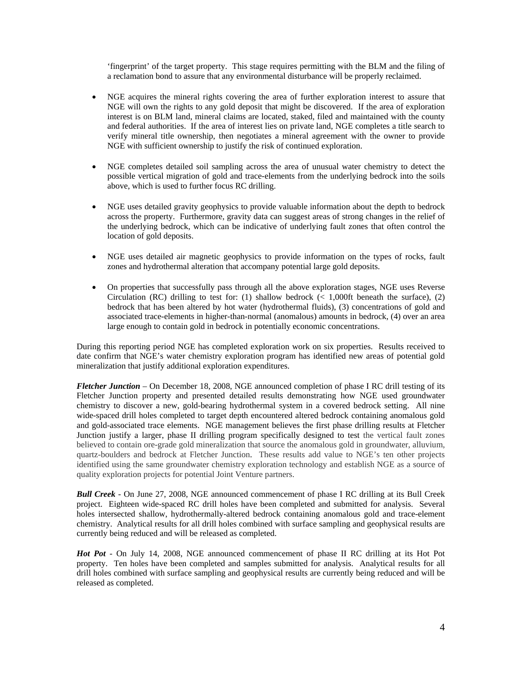'fingerprint' of the target property. This stage requires permitting with the BLM and the filing of a reclamation bond to assure that any environmental disturbance will be properly reclaimed.

- NGE acquires the mineral rights covering the area of further exploration interest to assure that NGE will own the rights to any gold deposit that might be discovered. If the area of exploration interest is on BLM land, mineral claims are located, staked, filed and maintained with the county and federal authorities. If the area of interest lies on private land, NGE completes a title search to verify mineral title ownership, then negotiates a mineral agreement with the owner to provide NGE with sufficient ownership to justify the risk of continued exploration.
- NGE completes detailed soil sampling across the area of unusual water chemistry to detect the possible vertical migration of gold and trace-elements from the underlying bedrock into the soils above, which is used to further focus RC drilling.
- NGE uses detailed gravity geophysics to provide valuable information about the depth to bedrock across the property. Furthermore, gravity data can suggest areas of strong changes in the relief of the underlying bedrock, which can be indicative of underlying fault zones that often control the location of gold deposits.
- NGE uses detailed air magnetic geophysics to provide information on the types of rocks, fault zones and hydrothermal alteration that accompany potential large gold deposits.
- On properties that successfully pass through all the above exploration stages, NGE uses Reverse Circulation (RC) drilling to test for: (1) shallow bedrock ( $\lt$  1,000ft beneath the surface), (2) bedrock that has been altered by hot water (hydrothermal fluids), (3) concentrations of gold and associated trace-elements in higher-than-normal (anomalous) amounts in bedrock, (4) over an area large enough to contain gold in bedrock in potentially economic concentrations.

During this reporting period NGE has completed exploration work on six properties. Results received to date confirm that NGE's water chemistry exploration program has identified new areas of potential gold mineralization that justify additional exploration expenditures.

*Fletcher Junction* – On December 18, 2008, NGE announced completion of phase I RC drill testing of its Fletcher Junction property and presented detailed results demonstrating how NGE used groundwater chemistry to discover a new, gold-bearing hydrothermal system in a covered bedrock setting. All nine wide-spaced drill holes completed to target depth encountered altered bedrock containing anomalous gold and gold-associated trace elements. NGE management believes the first phase drilling results at Fletcher Junction justify a larger, phase II drilling program specifically designed to test the vertical fault zones believed to contain ore-grade gold mineralization that source the anomalous gold in groundwater, alluvium, quartz-boulders and bedrock at Fletcher Junction. These results add value to NGE's ten other projects identified using the same groundwater chemistry exploration technology and establish NGE as a source of quality exploration projects for potential Joint Venture partners.

*Bull Creek* - On June 27, 2008, NGE announced commencement of phase I RC drilling at its Bull Creek project. Eighteen wide-spaced RC drill holes have been completed and submitted for analysis. Several holes intersected shallow, hydrothermally-altered bedrock containing anomalous gold and trace-element chemistry. Analytical results for all drill holes combined with surface sampling and geophysical results are currently being reduced and will be released as completed.

*Hot Pot* - On July 14, 2008, NGE announced commencement of phase II RC drilling at its Hot Pot property. Ten holes have been completed and samples submitted for analysis. Analytical results for all drill holes combined with surface sampling and geophysical results are currently being reduced and will be released as completed.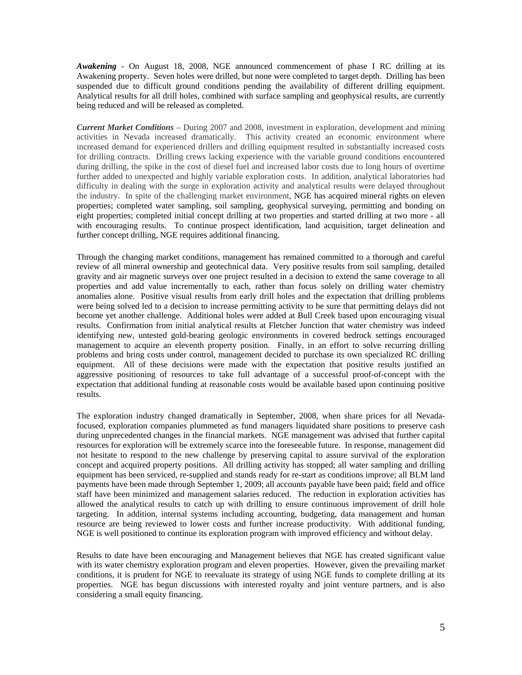*Awakening* - On August 18, 2008, NGE announced commencement of phase I RC drilling at its Awakening property. Seven holes were drilled, but none were completed to target depth. Drilling has been suspended due to difficult ground conditions pending the availability of different drilling equipment. Analytical results for all drill holes, combined with surface sampling and geophysical results, are currently being reduced and will be released as completed.

*Current Market Conditions* – During 2007 and 2008, investment in exploration, development and mining activities in Nevada increased dramatically. This activity created an economic environment where increased demand for experienced drillers and drilling equipment resulted in substantially increased costs for drilling contracts. Drilling crews lacking experience with the variable ground conditions encountered during drilling, the spike in the cost of diesel fuel and increased labor costs due to long hours of overtime further added to unexpected and highly variable exploration costs. In addition, analytical laboratories had difficulty in dealing with the surge in exploration activity and analytical results were delayed throughout the industry. In spite of the challenging market environment, NGE has acquired mineral rights on eleven properties; completed water sampling, soil sampling, geophysical surveying, permitting and bonding on eight properties; completed initial concept drilling at two properties and started drilling at two more - all with encouraging results. To continue prospect identification, land acquisition, target delineation and further concept drilling, NGE requires additional financing.

Through the changing market conditions, management has remained committed to a thorough and careful review of all mineral ownership and geotechnical data. Very positive results from soil sampling, detailed gravity and air magnetic surveys over one project resulted in a decision to extend the same coverage to all properties and add value incrementally to each, rather than focus solely on drilling water chemistry anomalies alone. Positive visual results from early drill holes and the expectation that drilling problems were being solved led to a decision to increase permitting activity to be sure that permitting delays did not become yet another challenge. Additional holes were added at Bull Creek based upon encouraging visual results. Confirmation from initial analytical results at Fletcher Junction that water chemistry was indeed identifying new, untested gold-bearing geologic environments in covered bedrock settings encouraged management to acquire an eleventh property position. Finally, in an effort to solve recurring drilling problems and bring costs under control, management decided to purchase its own specialized RC drilling equipment. All of these decisions were made with the expectation that positive results justified an aggressive positioning of resources to take full advantage of a successful proof-of-concept with the expectation that additional funding at reasonable costs would be available based upon continuing positive results.

The exploration industry changed dramatically in September, 2008, when share prices for all Nevadafocused, exploration companies plummeted as fund managers liquidated share positions to preserve cash during unprecedented changes in the financial markets. NGE management was advised that further capital resources for exploration will be extremely scarce into the foreseeable future. In response, management did not hesitate to respond to the new challenge by preserving capital to assure survival of the exploration concept and acquired property positions. All drilling activity has stopped; all water sampling and drilling equipment has been serviced, re-supplied and stands ready for re-start as conditions improve; all BLM land payments have been made through September 1, 2009; all accounts payable have been paid; field and office staff have been minimized and management salaries reduced. The reduction in exploration activities has allowed the analytical results to catch up with drilling to ensure continuous improvement of drill hole targeting. In addition, internal systems including accounting, budgeting, data management and human resource are being reviewed to lower costs and further increase productivity. With additional funding, NGE is well positioned to continue its exploration program with improved efficiency and without delay.

Results to date have been encouraging and Management believes that NGE has created significant value with its water chemistry exploration program and eleven properties. However, given the prevailing market conditions, it is prudent for NGE to reevaluate its strategy of using NGE funds to complete drilling at its properties. NGE has begun discussions with interested royalty and joint venture partners, and is also considering a small equity financing.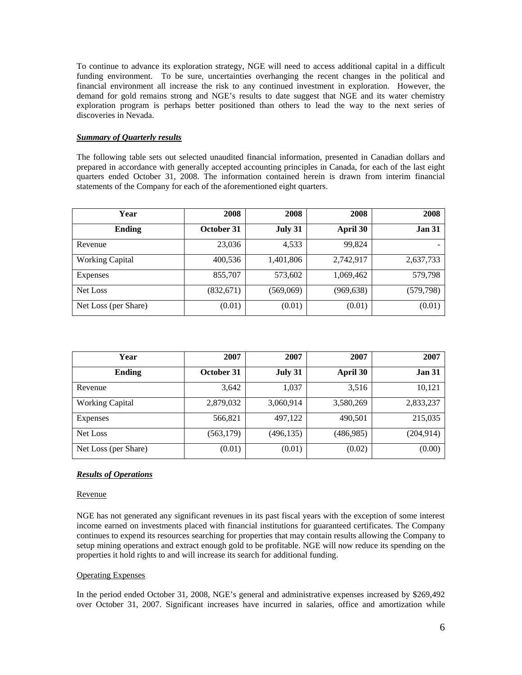To continue to advance its exploration strategy, NGE will need to access additional capital in a difficult funding environment. To be sure, uncertainties overhanging the recent changes in the political and financial environment all increase the risk to any continued investment in exploration. However, the demand for gold remains strong and NGE's results to date suggest that NGE and its water chemistry exploration program is perhaps better positioned than others to lead the way to the next series of discoveries in Nevada.

## *Summary of Quarterly results*

The following table sets out selected unaudited financial information, presented in Canadian dollars and prepared in accordance with generally accepted accounting principles in Canada, for each of the last eight quarters ended October 31, 2008. The information contained herein is drawn from interim financial statements of the Company for each of the aforementioned eight quarters.

| Year                   | 2008       | 2008      | 2008       | 2008          |
|------------------------|------------|-----------|------------|---------------|
| <b>Ending</b>          | October 31 | July 31   | April 30   | <b>Jan 31</b> |
| Revenue                | 23,036     | 4,533     | 99,824     |               |
| <b>Working Capital</b> | 400,536    | 1,401,806 | 2,742,917  | 2,637,733     |
| Expenses               | 855,707    | 573,602   | 1,069,462  | 579,798       |
| Net Loss               | (832, 671) | (569,069) | (969, 638) | (579,798)     |
| Net Loss (per Share)   | (0.01)     | (0.01)    | (0.01)     | (0.01)        |

| Year                   | 2007       | 2007       | 2007      | 2007          |
|------------------------|------------|------------|-----------|---------------|
| <b>Ending</b>          | October 31 | July 31    | April 30  | <b>Jan 31</b> |
| Revenue                | 3,642      | 1,037      | 3,516     | 10,121        |
| <b>Working Capital</b> | 2,879,032  | 3,060,914  | 3,580,269 | 2,833,237     |
| Expenses               | 566,821    | 497,122    | 490,501   | 215,035       |
| Net Loss               | (563, 179) | (496, 135) | (486,985) | (204, 914)    |
| Net Loss (per Share)   | (0.01)     | (0.01)     | (0.02)    | (0.00)        |

## *Results of Operations*

#### Revenue

NGE has not generated any significant revenues in its past fiscal years with the exception of some interest income earned on investments placed with financial institutions for guaranteed certificates. The Company continues to expend its resources searching for properties that may contain results allowing the Company to setup mining operations and extract enough gold to be profitable. NGE will now reduce its spending on the properties it hold rights to and will increase its search for additional funding.

## Operating Expenses

In the period ended October 31, 2008, NGE's general and administrative expenses increased by \$269,492 over October 31, 2007. Significant increases have incurred in salaries, office and amortization while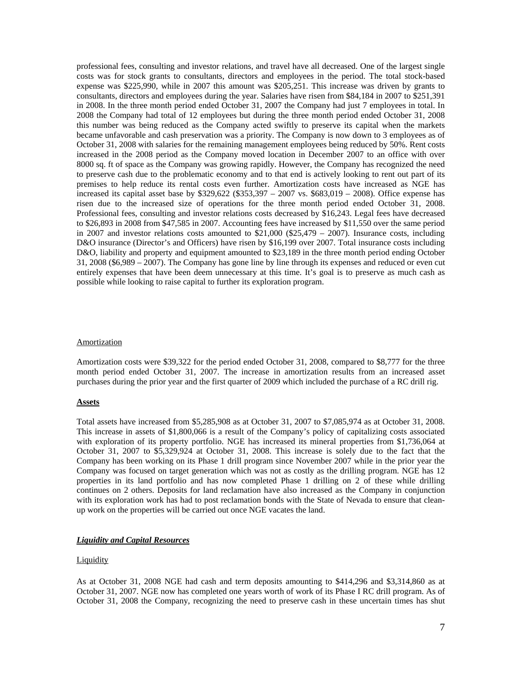professional fees, consulting and investor relations, and travel have all decreased. One of the largest single costs was for stock grants to consultants, directors and employees in the period. The total stock-based expense was \$225,990, while in 2007 this amount was \$205,251. This increase was driven by grants to consultants, directors and employees during the year. Salaries have risen from \$84,184 in 2007 to \$251,391 in 2008. In the three month period ended October 31, 2007 the Company had just 7 employees in total. In 2008 the Company had total of 12 employees but during the three month period ended October 31, 2008 this number was being reduced as the Company acted swiftly to preserve its capital when the markets became unfavorable and cash preservation was a priority. The Company is now down to 3 employees as of October 31, 2008 with salaries for the remaining management employees being reduced by 50%. Rent costs increased in the 2008 period as the Company moved location in December 2007 to an office with over 8000 sq. ft of space as the Company was growing rapidly. However, the Company has recognized the need to preserve cash due to the problematic economy and to that end is actively looking to rent out part of its premises to help reduce its rental costs even further. Amortization costs have increased as NGE has increased its capital asset base by  $$329,622$   $($353,397 - 2007$  vs.  $$683,019 - 2008$ ). Office expense has risen due to the increased size of operations for the three month period ended October 31, 2008. Professional fees, consulting and investor relations costs decreased by \$16,243. Legal fees have decreased to \$26,893 in 2008 from \$47,585 in 2007. Accounting fees have increased by \$11,550 over the same period in 2007 and investor relations costs amounted to  $$21,000$  ( $$25,479 - 2007$ ). Insurance costs, including D&O insurance (Director's and Officers) have risen by \$16,199 over 2007. Total insurance costs including D&O, liability and property and equipment amounted to \$23,189 in the three month period ending October 31, 2008 (\$6,989 – 2007). The Company has gone line by line through its expenses and reduced or even cut entirely expenses that have been deem unnecessary at this time. It's goal is to preserve as much cash as possible while looking to raise capital to further its exploration program.

#### **Amortization**

Amortization costs were \$39,322 for the period ended October 31, 2008, compared to \$8,777 for the three month period ended October 31, 2007. The increase in amortization results from an increased asset purchases during the prior year and the first quarter of 2009 which included the purchase of a RC drill rig.

#### **Assets**

Total assets have increased from \$5,285,908 as at October 31, 2007 to \$7,085,974 as at October 31, 2008. This increase in assets of \$1,800,066 is a result of the Company's policy of capitalizing costs associated with exploration of its property portfolio. NGE has increased its mineral properties from \$1,736,064 at October 31, 2007 to \$5,329,924 at October 31, 2008. This increase is solely due to the fact that the Company has been working on its Phase 1 drill program since November 2007 while in the prior year the Company was focused on target generation which was not as costly as the drilling program. NGE has 12 properties in its land portfolio and has now completed Phase 1 drilling on 2 of these while drilling continues on 2 others. Deposits for land reclamation have also increased as the Company in conjunction with its exploration work has had to post reclamation bonds with the State of Nevada to ensure that cleanup work on the properties will be carried out once NGE vacates the land.

#### *Liquidity and Capital Resources*

#### **Liquidity**

As at October 31, 2008 NGE had cash and term deposits amounting to \$414,296 and \$3,314,860 as at October 31, 2007. NGE now has completed one years worth of work of its Phase I RC drill program. As of October 31, 2008 the Company, recognizing the need to preserve cash in these uncertain times has shut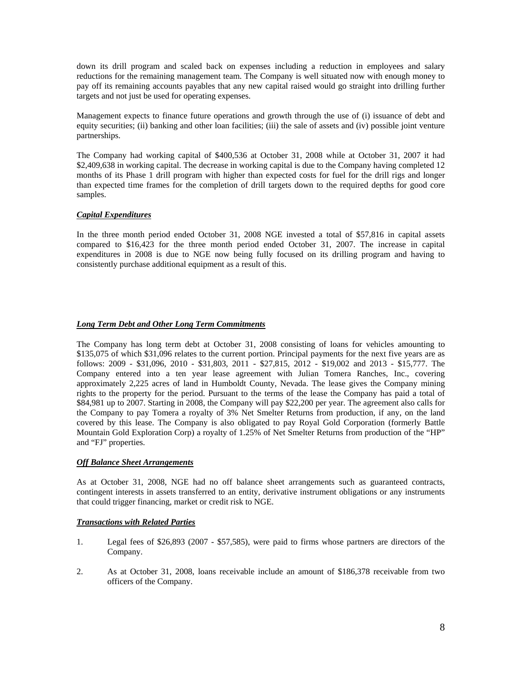down its drill program and scaled back on expenses including a reduction in employees and salary reductions for the remaining management team. The Company is well situated now with enough money to pay off its remaining accounts payables that any new capital raised would go straight into drilling further targets and not just be used for operating expenses.

Management expects to finance future operations and growth through the use of (i) issuance of debt and equity securities; (ii) banking and other loan facilities; (iii) the sale of assets and (iv) possible joint venture partnerships.

The Company had working capital of \$400,536 at October 31, 2008 while at October 31, 2007 it had \$2,409,638 in working capital. The decrease in working capital is due to the Company having completed 12 months of its Phase 1 drill program with higher than expected costs for fuel for the drill rigs and longer than expected time frames for the completion of drill targets down to the required depths for good core samples.

## *Capital Expenditures*

In the three month period ended October 31, 2008 NGE invested a total of \$57,816 in capital assets compared to \$16,423 for the three month period ended October 31, 2007. The increase in capital expenditures in 2008 is due to NGE now being fully focused on its drilling program and having to consistently purchase additional equipment as a result of this.

## *Long Term Debt and Other Long Term Commitments*

The Company has long term debt at October 31, 2008 consisting of loans for vehicles amounting to \$135,075 of which \$31,096 relates to the current portion. Principal payments for the next five years are as follows: 2009 - \$31,096, 2010 - \$31,803, 2011 - \$27,815, 2012 - \$19,002 and 2013 - \$15,777. The Company entered into a ten year lease agreement with Julian Tomera Ranches, Inc., covering approximately 2,225 acres of land in Humboldt County, Nevada. The lease gives the Company mining rights to the property for the period. Pursuant to the terms of the lease the Company has paid a total of \$84,981 up to 2007. Starting in 2008, the Company will pay \$22,200 per year. The agreement also calls for the Company to pay Tomera a royalty of 3% Net Smelter Returns from production, if any, on the land covered by this lease. The Company is also obligated to pay Royal Gold Corporation (formerly Battle Mountain Gold Exploration Corp) a royalty of 1.25% of Net Smelter Returns from production of the "HP" and "FJ" properties.

## *Off Balance Sheet Arrangements*

As at October 31, 2008, NGE had no off balance sheet arrangements such as guaranteed contracts, contingent interests in assets transferred to an entity, derivative instrument obligations or any instruments that could trigger financing, market or credit risk to NGE.

## *Transactions with Related Parties*

- 1. Legal fees of \$26,893 (2007 \$57,585), were paid to firms whose partners are directors of the Company.
- 2. As at October 31, 2008, loans receivable include an amount of \$186,378 receivable from two officers of the Company.